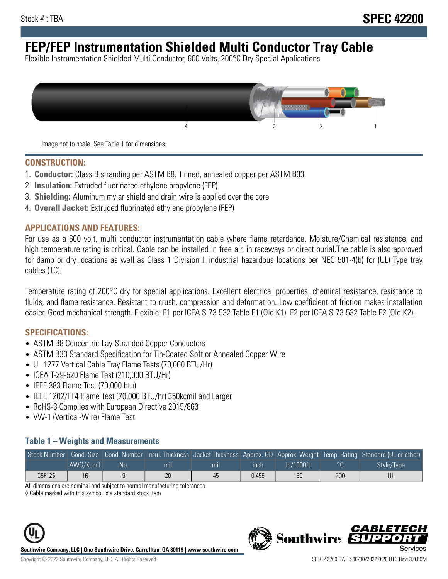# **FEP/FEP Instrumentation Shielded Multi Conductor Tray Cable**

Flexible Instrumentation Shielded Multi Conductor, 600 Volts, 200°C Dry Special Applications



Image not to scale. See Table 1 for dimensions.

#### **CONSTRUCTION:**

- 1. **Conductor:** Class B stranding per ASTM B8. Tinned, annealed copper per ASTM B33
- 2. **Insulation:** Extruded fluorinated ethylene propylene (FEP)
- 3. **Shielding:** Aluminum mylar shield and drain wire is applied over the core
- 4. **Overall Jacket:** Extruded fluorinated ethylene propylene (FEP)

#### **APPLICATIONS AND FEATURES:**

For use as a 600 volt, multi conductor instrumentation cable where flame retardance, Moisture/Chemical resistance, and high temperature rating is critical. Cable can be installed in free air, in raceways or direct burial.The cable is also approved for damp or dry locations as well as Class 1 Division II industrial hazardous locations per NEC 501-4(b) for (UL) Type tray cables (TC).

Temperature rating of 200°C dry for special applications. Excellent electrical properties, chemical resistance, resistance to fluids, and flame resistance. Resistant to crush, compression and deformation. Low coefficient of friction makes installation easier. Good mechanical strength. Flexible. E1 per ICEA S-73-532 Table E1 (Old K1). E2 per ICEA S-73-532 Table E2 (Old K2).

#### **SPECIFICATIONS:**

- ASTM B8 Concentric-Lay-Stranded Copper Conductors
- ASTM B33 Standard Specification for Tin-Coated Soft or Annealed Copper Wire
- UL 1277 Vertical Cable Tray Flame Tests (70,000 BTU/Hr)
- ICEA T-29-520 Flame Test (210,000 BTU/Hr)
- IEEE 383 Flame Test (70,000 btu)
- IEEE 1202/FT4 Flame Test (70,000 BTU/hr) 350kcmil and Larger
- RoHS-3 Complies with European Directive 2015/863
- VW-1 (Vertical-Wire) Flame Test

#### **Table 1 – Weights and Measurements**

|        |           |     |                |     |       |           |         | Stock Number Cond. Size Cond. Number Insul. Thickness Jacket Thickness Approx. OD Approx. Weight Temp. Rating Standard (UL or other) |
|--------|-----------|-----|----------------|-----|-------|-----------|---------|--------------------------------------------------------------------------------------------------------------------------------------|
|        | AWG/Kcmil | .No | m <sub>l</sub> | mıl | ınch  | lb/1000ft | $\circ$ | Style/Type                                                                                                                           |
| C5F125 | 16        |     | 20             | 45  | 0.455 | 180       | 200     |                                                                                                                                      |

All dimensions are nominal and subject to normal manufacturing tolerances

◊ Cable marked with this symbol is a standard stock item





CARLET